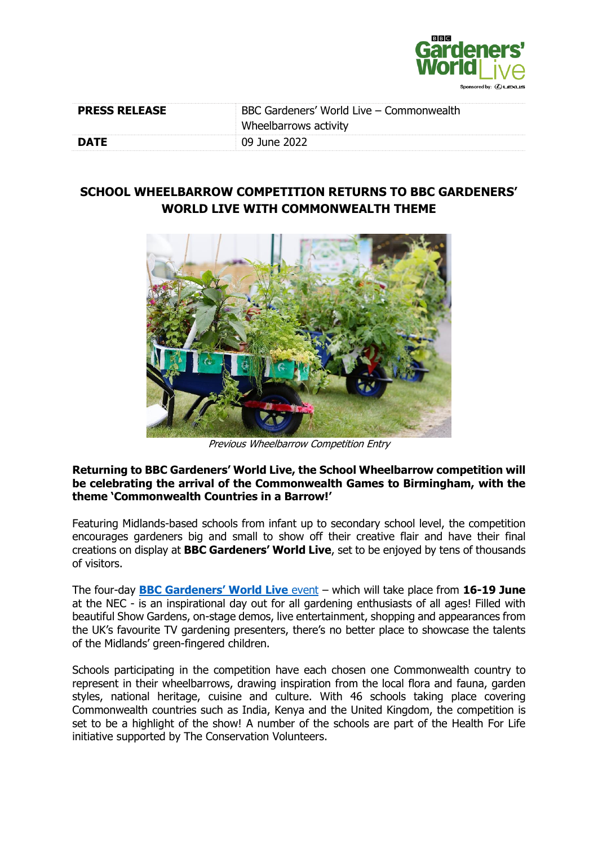

| <b>PRESS RELEASE</b> | BBC Gardeners' World Live – Commonwealth |  |
|----------------------|------------------------------------------|--|
|                      | Wheelbarrows activity                    |  |
| <b>DATE</b>          | 09 June 2022                             |  |

## **SCHOOL WHEELBARROW COMPETITION RETURNS TO BBC GARDENERS' WORLD LIVE WITH COMMONWEALTH THEME**



Previous Wheelbarrow Competition Entry

## **Returning to BBC Gardeners' World Live, the School Wheelbarrow competition will be celebrating the arrival of the Commonwealth Games to Birmingham, with the theme 'Commonwealth Countries in a Barrow!'**

Featuring Midlands-based schools from infant up to secondary school level, the competition encourages gardeners big and small to show off their creative flair and have their final creations on display at **BBC Gardeners' World Live**, set to be enjoyed by tens of thousands of visitors.

The four-day **[BBC Gardeners' World Live](https://www.bbcgardenersworldlive.com/)** event – which will take place from **16-19 June** at the NEC - is an inspirational day out for all gardening enthusiasts of all ages! Filled with beautiful Show Gardens, on-stage demos, live entertainment, shopping and appearances from the UK's favourite TV gardening presenters, there's no better place to showcase the talents of the Midlands' green-fingered children.

Schools participating in the competition have each chosen one Commonwealth country to represent in their wheelbarrows, drawing inspiration from the local flora and fauna, garden styles, national heritage, cuisine and culture. With 46 schools taking place covering Commonwealth countries such as India, Kenya and the United Kingdom, the competition is set to be a highlight of the show! A number of the schools are part of the Health For Life initiative supported by The Conservation Volunteers.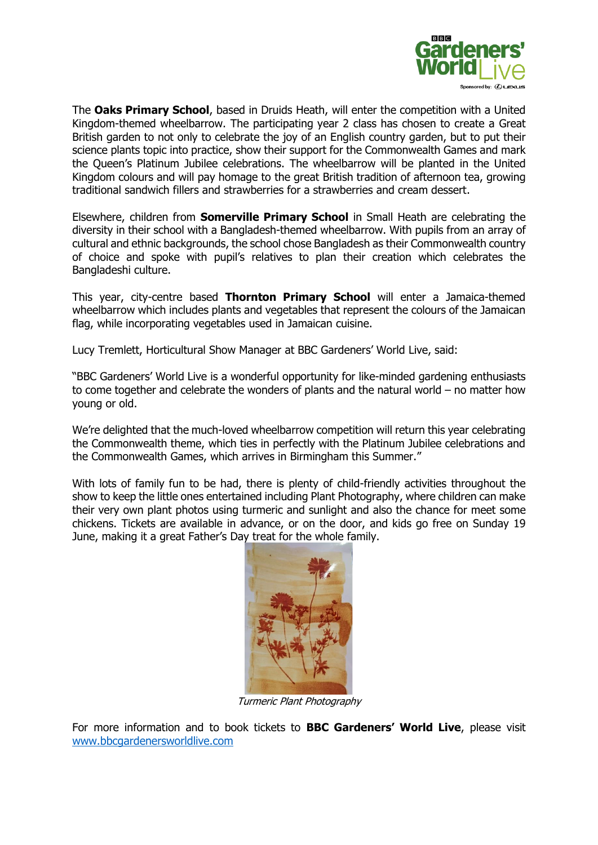

The **Oaks Primary School**, based in Druids Heath, will enter the competition with a United Kingdom-themed wheelbarrow. The participating year 2 class has chosen to create a Great British garden to not only to celebrate the joy of an English country garden, but to put their science plants topic into practice, show their support for the Commonwealth Games and mark the Queen's Platinum Jubilee celebrations. The wheelbarrow will be planted in the United Kingdom colours and will pay homage to the great British tradition of afternoon tea, growing traditional sandwich fillers and strawberries for a strawberries and cream dessert.

Elsewhere, children from **Somerville Primary School** in Small Heath are celebrating the diversity in their school with a Bangladesh-themed wheelbarrow. With pupils from an array of cultural and ethnic backgrounds, the school chose Bangladesh as their Commonwealth country of choice and spoke with pupil's relatives to plan their creation which celebrates the Bangladeshi culture.

This year, city-centre based **Thornton Primary School** will enter a Jamaica-themed wheelbarrow which includes plants and vegetables that represent the colours of the Jamaican flag, while incorporating vegetables used in Jamaican cuisine.

Lucy Tremlett, Horticultural Show Manager at BBC Gardeners' World Live, said:

"BBC Gardeners' World Live is a wonderful opportunity for like-minded gardening enthusiasts to come together and celebrate the wonders of plants and the natural world – no matter how young or old.

We're delighted that the much-loved wheelbarrow competition will return this year celebrating the Commonwealth theme, which ties in perfectly with the Platinum Jubilee celebrations and the Commonwealth Games, which arrives in Birmingham this Summer."

With lots of family fun to be had, there is plenty of child-friendly activities throughout the show to keep the little ones entertained including Plant Photography, where children can make their very own plant photos using turmeric and sunlight and also the chance for meet some chickens. Tickets are available in advance, or on the door, and kids go free on Sunday 19 June, making it a great Father's Day treat for the whole family.



Turmeric Plant Photography

For more information and to book tickets to **BBC Gardeners' World Live**, please visit [www.bbcgardenersworldlive.com](http://www.bbcgardenersworldlive.com/)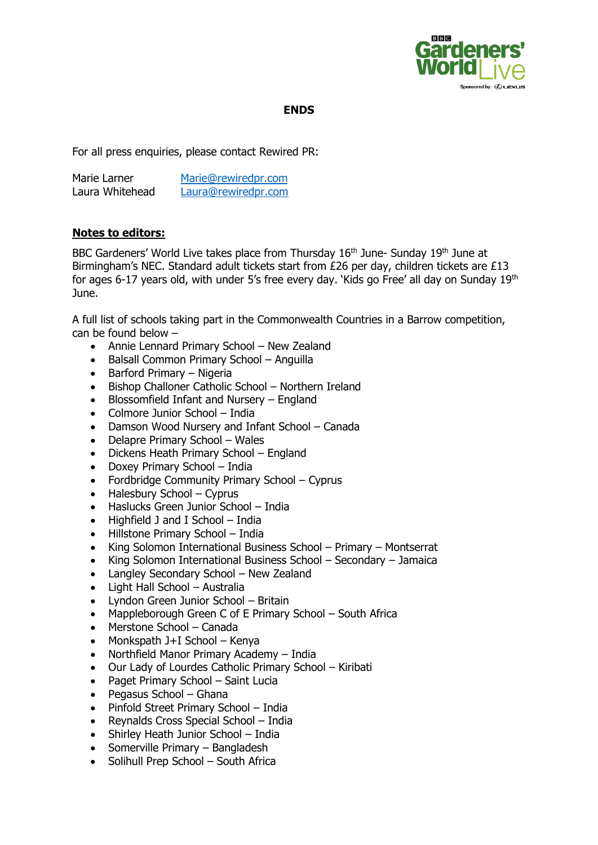

## **ENDS**

For all press enquiries, please contact Rewired PR:

| Marie Larner    | Marie@rewiredpr.com |
|-----------------|---------------------|
| Laura Whitehead | Laura@rewiredpr.com |

## **Notes to editors:**

BBC Gardeners' World Live takes place from Thursday 16<sup>th</sup> June- Sunday 19<sup>th</sup> June at Birmingham's NEC. Standard adult tickets start from £26 per day, children tickets are £13 for ages 6-17 years old, with under 5's free every day. 'Kids go Free' all day on Sunday 19<sup>th</sup> June.

A full list of schools taking part in the Commonwealth Countries in a Barrow competition, can be found below –

- Annie Lennard Primary School New Zealand
- Balsall Common Primary School Anguilla
- Barford Primary Nigeria
- Bishop Challoner Catholic School Northern Ireland
- Blossomfield Infant and Nursery England
- Colmore Junior School India
- Damson Wood Nursery and Infant School Canada
- Delapre Primary School Wales
- Dickens Heath Primary School England
- Doxey Primary School India
- Fordbridge Community Primary School Cyprus
- Halesbury School Cyprus
- Haslucks Green Junior School India
- Highfield J and I School India
- Hillstone Primary School India
- King Solomon International Business School Primary Montserrat
- King Solomon International Business School Secondary Jamaica
- Langley Secondary School New Zealand
- Light Hall School Australia
- Lyndon Green Junior School Britain
- Mappleborough Green C of E Primary School South Africa
- Merstone School Canada
- Monkspath J+I School Kenya
- Northfield Manor Primary Academy India
- Our Lady of Lourdes Catholic Primary School Kiribati
- Paget Primary School Saint Lucia
- Pegasus School Ghana
- Pinfold Street Primary School India
- Reynalds Cross Special School India
- Shirley Heath Junior School India
- Somerville Primary Bangladesh
- Solihull Prep School South Africa